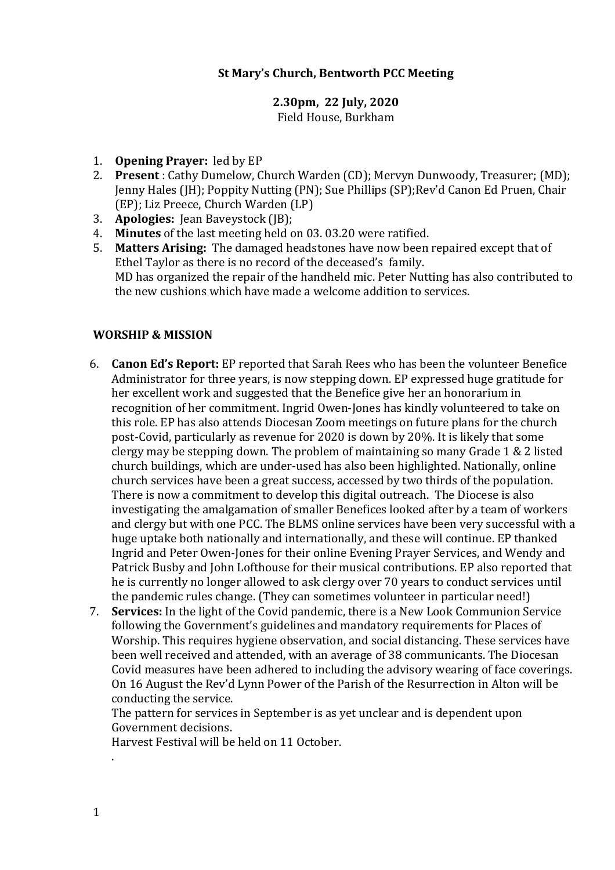# **St Mary's Church, Bentworth PCC Meeting**

# **2.30pm, 22 July, 2020**

Field House, Burkham

- 1. **Opening Prayer:** led by EP
- 2. **Present**: Cathy Dumelow, Church Warden (CD); Mervyn Dunwoody, Treasurer; (MD); Jenny Hales (JH); Poppity Nutting (PN); Sue Phillips (SP);Rev'd Canon Ed Pruen, Chair (EP); Liz Preece, Church Warden (LP)
- 3. **Apologies:** Jean Baveystock (JB);
- 4. **Minutes** of the last meeting held on 03, 03.20 were ratified.
- 5. **Matters Arising:** The damaged headstones have now been repaired except that of Ethel Taylor as there is no record of the deceased's family. MD has organized the repair of the handheld mic. Peter Nutting has also contributed to the new cushions which have made a welcome addition to services.

#### **WORSHIP & MISSION**

- 6. **Canon Ed's Report:** EP reported that Sarah Rees who has been the volunteer Benefice Administrator for three years, is now stepping down. EP expressed huge gratitude for her excellent work and suggested that the Benefice give her an honorarium in recognition of her commitment. Ingrid Owen-Jones has kindly volunteered to take on this role. EP has also attends Diocesan Zoom meetings on future plans for the church post-Covid, particularly as revenue for 2020 is down by 20%. It is likely that some clergy may be stepping down. The problem of maintaining so many Grade  $1 \& 2$  listed church buildings, which are under-used has also been highlighted. Nationally, online church services have been a great success, accessed by two thirds of the population. There is now a commitment to develop this digital outreach. The Diocese is also investigating the amalgamation of smaller Benefices looked after by a team of workers and clergy but with one PCC. The BLMS online services have been very successful with a huge uptake both nationally and internationally, and these will continue. EP thanked Ingrid and Peter Owen-Jones for their online Evening Prayer Services, and Wendy and Patrick Busby and John Lofthouse for their musical contributions. EP also reported that he is currently no longer allowed to ask clergy over 70 years to conduct services until the pandemic rules change. (They can sometimes volunteer in particular need!)
- 7. **Services:** In the light of the Covid pandemic, there is a New Look Communion Service following the Government's guidelines and mandatory requirements for Places of Worship. This requires hygiene observation, and social distancing. These services have been well received and attended, with an average of 38 communicants. The Diocesan Covid measures have been adhered to including the advisory wearing of face coverings. On 16 August the Rev'd Lynn Power of the Parish of the Resurrection in Alton will be conducting the service.

The pattern for services in September is as yet unclear and is dependent upon Government decisions.

Harvest Festival will be held on 11 October.

.